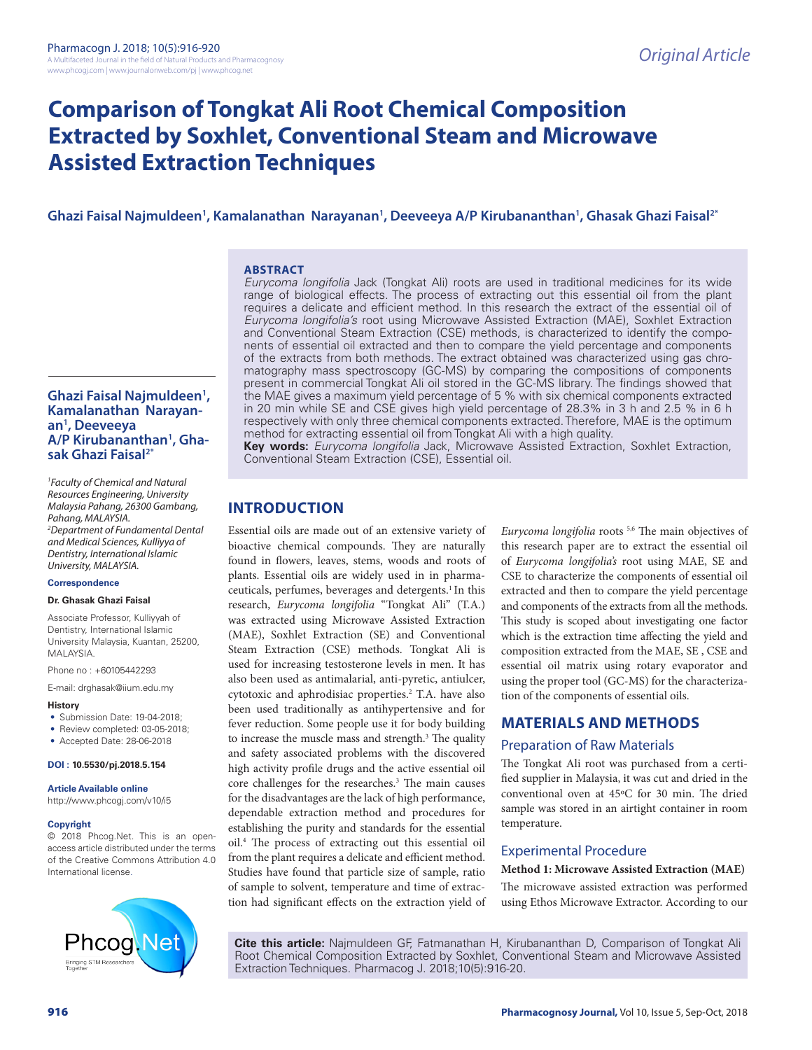# **Comparison of Tongkat Ali Root Chemical Composition Extracted by Soxhlet, Conventional Steam and Microwave Assisted Extraction Techniques**

## Ghazi Faisal Najmuldeen<sup>1</sup>, Kamalanathan Narayanan<sup>1</sup>, Deeveeya A/P Kirubananthan<sup>1</sup>, Ghasak Ghazi Faisal<sup>2\*</sup>

#### **ABSTRACT**

*Eurycoma longifolia* Jack (Tongkat Ali) roots are used in traditional medicines for its wide range of biological effects. The process of extracting out this essential oil from the plant requires a delicate and efficient method. In this research the extract of the essential oil of *Eurycoma longifolia's* root using Microwave Assisted Extraction (MAE), Soxhlet Extraction and Conventional Steam Extraction (CSE) methods, is characterized to identify the components of essential oil extracted and then to compare the yield percentage and components of the extracts from both methods. The extract obtained was characterized using gas chromatography mass spectroscopy (GC-MS) by comparing the compositions of components present in commercial Tongkat Ali oil stored in the GC-MS library. The findings showed that the MAE gives a maximum yield percentage of 5 % with six chemical components extracted in 20 min while SE and CSE gives high yield percentage of 28.3% in 3 h and 2.5 % in 6 h respectively with only three chemical components extracted. Therefore, MAE is the optimum method for extracting essential oil from Tongkat Ali with a high quality.

**Key words:** *Eurycoma longifolia* Jack, Microwave Assisted Extraction, Soxhlet Extraction, Conventional Steam Extraction (CSE), Essential oil.

# **INTRODUCTION**

Essential oils are made out of an extensive variety of bioactive chemical compounds. They are naturally found in flowers, leaves, stems, woods and roots of plants. Essential oils are widely used in in pharmaceuticals, perfumes, beverages and detergents.<sup>1</sup> In this research, *Eurycoma longifolia* "Tongkat Ali" (T.A.) was extracted using Microwave Assisted Extraction (MAE), Soxhlet Extraction (SE) and Conventional Steam Extraction (CSE) methods. Tongkat Ali is used for increasing testosterone levels in men. It has also been used as antimalarial, anti-pyretic, antiulcer, cytotoxic and aphrodisiac properties.<sup>2</sup> T.A. have also been used traditionally as antihypertensive and for fever reduction. Some people use it for body building to increase the muscle mass and strength.<sup>3</sup> The quality and safety associated problems with the discovered high activity profile drugs and the active essential oil core challenges for the researches.<sup>3</sup> The main causes for the disadvantages are the lack of high performance, dependable extraction method and procedures for establishing the purity and standards for the essential oil.4 The process of extracting out this essential oil from the plant requires a delicate and efficient method. Studies have found that particle size of sample, ratio of sample to solvent, temperature and time of extraction had significant effects on the extraction yield of

*Eurycoma longifolia* roots 5,6 The main objectives of this research paper are to extract the essential oil of *Eurycoma longifolia's* root using MAE, SE and CSE to characterize the components of essential oil extracted and then to compare the yield percentage and components of the extracts from all the methods. This study is scoped about investigating one factor which is the extraction time affecting the yield and composition extracted from the MAE, SE , CSE and essential oil matrix using rotary evaporator and using the proper tool (GC-MS) for the characterization of the components of essential oils.

# **MATERIALS AND METHODS**

## Preparation of Raw Materials

The Tongkat Ali root was purchased from a certified supplier in Malaysia, it was cut and dried in the conventional oven at 45ºC for 30 min. The dried sample was stored in an airtight container in room temperature.

# Experimental Procedure

**Method 1: Microwave Assisted Extraction (MAE)**

The microwave assisted extraction was performed using Ethos Microwave Extractor. According to our

**Cite this article:** Najmuldeen GF, Fatmanathan H, Kirubananthan D, Comparison of Tongkat Ali Root Chemical Composition Extracted by Soxhlet, Conventional Steam and Microwave Assisted Extraction Techniques. Pharmacog J. 2018;10(5):916-20.

## **Ghazi Faisal Najmuldeen1 , Kamalanathan Narayanan1 , Deeveeya A/P Kirubananthan1 , Ghasak Ghazi Faisal2\***

*1 Faculty of Chemical and Natural Resources Engineering, University Malaysia Pahang, 26300 Gambang, Pahang, MALAYSIA. 2 Department of Fundamental Dental and Medical Sciences, Kulliyya of Dentistry, International Islamic University, MALAYSIA.*

#### **Correspondence**

#### **Dr. Ghasak Ghazi Faisal**

Associate Professor, Kulliyyah of Dentistry, International Islamic University Malaysia, Kuantan, 25200, MALAYSIA.

Phone no : +60105442293

E-mail: drghasak@iium.edu.my

#### **History**

- Submission Date: 19-04-2018;
- Review completed: 03-05-2018:
- Accepted Date: 28-06-2018

#### **DOI : 10.5530/pj.2018.5.154**

**Article Available online**  http://www.phcogj.com/v10/i5

## **Copyright**

© 2018 Phcog.Net. This is an openaccess article distributed under the terms of the Creative Commons Attribution 4.0 International license.

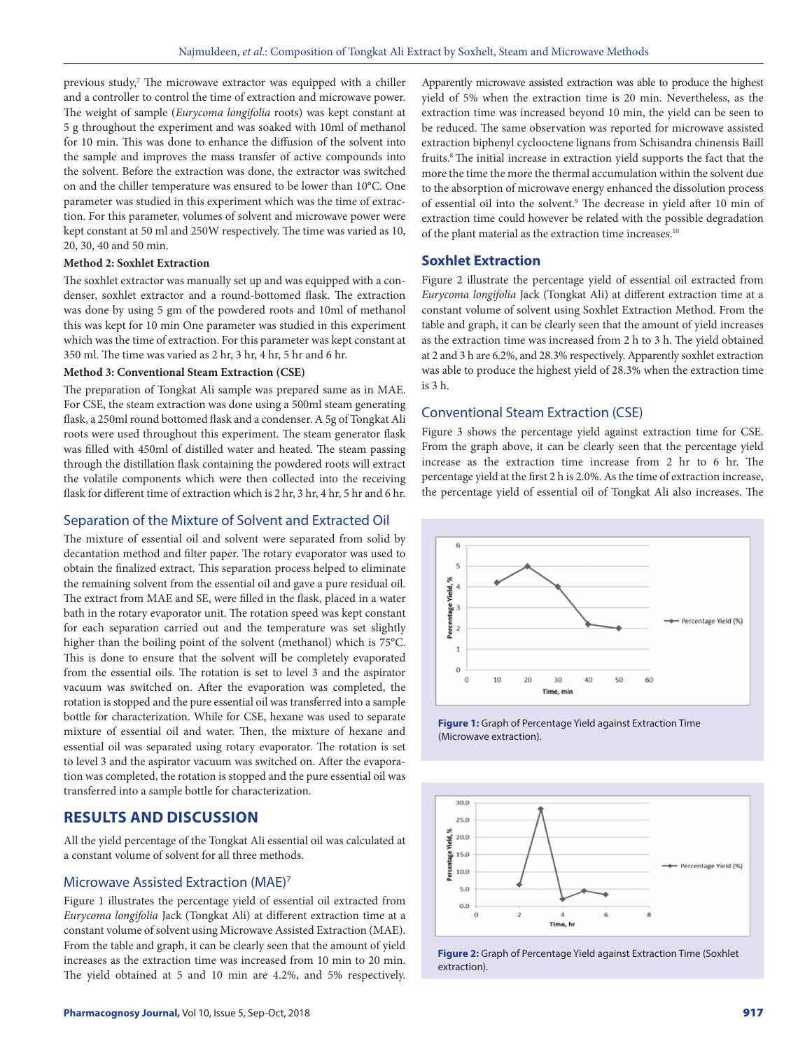previous study,<sup>7</sup> The microwave extractor was equipped with a chiller and a controller to control the time of extraction and microwave power. The weight of sample (*Eurycoma longifolia* roots) was kept constant at 5 g throughout the experiment and was soaked with 10ml of methanol for 10 min. This was done to enhance the diffusion of the solvent into the sample and improves the mass transfer of active compounds into the solvent. Before the extraction was done, the extractor was switched on and the chiller temperature was ensured to be lower than 10°C. One parameter was studied in this experiment which was the time of extraction. For this parameter, volumes of solvent and microwave power were kept constant at 50 ml and 250W respectively. The time was varied as 10, 20, 30, 40 and 50 min.

#### **Method 2: Soxhlet Extraction**

The soxhlet extractor was manually set up and was equipped with a condenser, soxhlet extractor and a round-bottomed flask. The extraction was done by using 5 gm of the powdered roots and 10ml of methanol this was kept for 10 min One parameter was studied in this experiment which was the time of extraction. For this parameter was kept constant at 350 ml. The time was varied as 2 hr, 3 hr, 4 hr, 5 hr and 6 hr.

#### **Method 3: Conventional Steam Extraction (CSE)**

The preparation of Tongkat Ali sample was prepared same as in MAE. For CSE, the steam extraction was done using a 500ml steam generating flask, a 250ml round bottomed flask and a condenser. A 5g of Tongkat Ali roots were used throughout this experiment. The steam generator flask was filled with 450ml of distilled water and heated. The steam passing through the distillation flask containing the powdered roots will extract the volatile components which were then collected into the receiving flask for different time of extraction which is 2 hr, 3 hr, 4 hr, 5 hr and 6 hr.

## Separation of the Mixture of Solvent and Extracted Oil

The mixture of essential oil and solvent were separated from solid by decantation method and filter paper. The rotary evaporator was used to obtain the finalized extract. This separation process helped to eliminate the remaining solvent from the essential oil and gave a pure residual oil. The extract from MAE and SE, were filled in the flask, placed in a water bath in the rotary evaporator unit. The rotation speed was kept constant for each separation carried out and the temperature was set slightly higher than the boiling point of the solvent (methanol) which is 75°C. This is done to ensure that the solvent will be completely evaporated from the essential oils. The rotation is set to level 3 and the aspirator vacuum was switched on. After the evaporation was completed, the rotation is stopped and the pure essential oil was transferred into a sample bottle for characterization. While for CSE, hexane was used to separate mixture of essential oil and water. Then, the mixture of hexane and essential oil was separated using rotary evaporator. The rotation is set to level 3 and the aspirator vacuum was switched on. After the evaporation was completed, the rotation is stopped and the pure essential oil was transferred into a sample bottle for characterization.

# **RESULTS AND DISCUSSION**

All the yield percentage of the Tongkat Ali essential oil was calculated at a constant volume of solvent for all three methods.

## Microwave Assisted Extraction (MAE)7

Figure 1 illustrates the percentage yield of essential oil extracted from *Eurycoma longifolia* Jack (Tongkat Ali) at different extraction time at a constant volume of solvent using Microwave Assisted Extraction (MAE). From the table and graph, it can be clearly seen that the amount of yield increases as the extraction time was increased from 10 min to 20 min. The yield obtained at 5 and 10 min are 4.2%, and 5% respectively.

Apparently microwave assisted extraction was able to produce the highest yield of 5% when the extraction time is 20 min. Nevertheless, as the extraction time was increased beyond 10 min, the yield can be seen to be reduced. The same observation was reported for microwave assisted extraction biphenyl cyclooctene lignans from Schisandra chinensis Baill fruits.8 The initial increase in extraction yield supports the fact that the more the time the more the thermal accumulation within the solvent due to the absorption of microwave energy enhanced the dissolution process of essential oil into the solvent.<sup>9</sup> The decrease in yield after 10 min of extraction time could however be related with the possible degradation of the plant material as the extraction time increases.10

## **Soxhlet Extraction**

Figure 2 illustrate the percentage yield of essential oil extracted from *Eurycoma longifolia* Jack (Tongkat Ali) at different extraction time at a constant volume of solvent using Soxhlet Extraction Method. From the table and graph, it can be clearly seen that the amount of yield increases as the extraction time was increased from 2 h to 3 h. The yield obtained at 2 and 3 h are 6.2%, and 28.3% respectively. Apparently soxhlet extraction was able to produce the highest yield of 28.3% when the extraction time is 3 h.

## Conventional Steam Extraction (CSE)

Figure 3 shows the percentage yield against extraction time for CSE. From the graph above, it can be clearly seen that the percentage yield increase as the extraction time increase from 2 hr to 6 hr. The percentage yield at the first 2 h is 2.0%. As the time of extraction increase, the percentage yield of essential oil of Tongkat Ali also increases. The







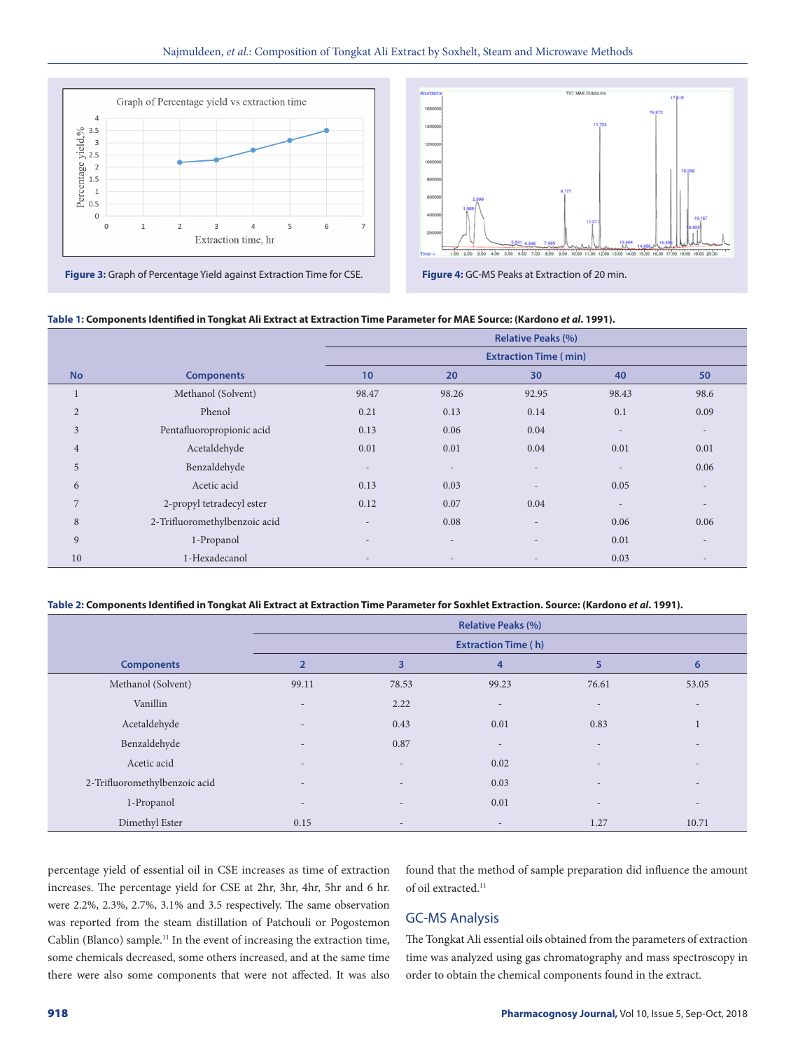



# **Table 1: Components Identified in Tongkat Ali Extract at Extraction Time Parameter for MAE Source: (Kardono** *et al***. 1991).**

|                |                               | <b>Relative Peaks (%)</b><br><b>Extraction Time (min)</b> |                          |                          |       |                          |
|----------------|-------------------------------|-----------------------------------------------------------|--------------------------|--------------------------|-------|--------------------------|
|                |                               |                                                           |                          |                          |       |                          |
| <b>No</b>      | <b>Components</b>             | 10                                                        | 20                       | 30                       | 40    | 50                       |
|                | Methanol (Solvent)            | 98.47                                                     | 98.26                    | 92.95                    | 98.43 | 98.6                     |
| $\overline{2}$ | Phenol                        | 0.21                                                      | 0.13                     | 0.14                     | 0.1   | 0.09                     |
| 3              | Pentafluoropropionic acid     | 0.13                                                      | 0.06                     | 0.04                     | ٠     | $\overline{\phantom{a}}$ |
| $\overline{4}$ | Acetaldehyde                  | 0.01                                                      | 0.01                     | 0.04                     | 0.01  | 0.01                     |
| 5              | Benzaldehyde                  | $\overline{\phantom{a}}$                                  | $\overline{\phantom{a}}$ | $\qquad \qquad -$        |       | 0.06                     |
| 6              | Acetic acid                   | 0.13                                                      | 0.03                     | $\overline{a}$           | 0.05  | $\overline{\phantom{a}}$ |
| 7              | 2-propyl tetradecyl ester     | 0.12                                                      | 0.07                     | 0.04                     |       | $\overline{\phantom{a}}$ |
| 8              | 2-Trifluoromethylbenzoic acid | $\overline{\phantom{a}}$                                  | 0.08                     | $\overline{\phantom{a}}$ | 0.06  | 0.06                     |
| 9              | 1-Propanol                    |                                                           | $\overline{\phantom{a}}$ |                          | 0.01  | $\overline{\phantom{a}}$ |
| 10             | 1-Hexadecanol                 |                                                           | $\overline{a}$           |                          | 0.03  | $\overline{\phantom{a}}$ |

#### **Table 2: Components Identified in Tongkat Ali Extract at Extraction Time Parameter for Soxhlet Extraction. Source: (Kardono** *et al***. 1991).**

|                               | <b>Relative Peaks (%)</b>  |                          |                          |                          |                          |
|-------------------------------|----------------------------|--------------------------|--------------------------|--------------------------|--------------------------|
|                               | <b>Extraction Time (h)</b> |                          |                          |                          |                          |
| <b>Components</b>             | $\overline{2}$             | 3                        | 4                        | 5                        | $6\phantom{1}6$          |
| Methanol (Solvent)            | 99.11                      | 78.53                    | 99.23                    | 76.61                    | 53.05                    |
| Vanillin                      | $\overline{a}$             | 2.22                     | $\overline{\phantom{a}}$ | $\overline{\phantom{a}}$ | $\overline{\phantom{a}}$ |
| Acetaldehyde                  | $\overline{\phantom{a}}$   | 0.43                     | 0.01                     | 0.83                     | $\mathbf{I}$             |
| Benzaldehyde                  | $\overline{a}$             | 0.87                     | $\overline{\phantom{a}}$ | $\overline{\phantom{a}}$ | $\qquad \qquad$          |
| Acetic acid                   | $\overline{a}$             | $\overline{\phantom{a}}$ | 0.02                     | $\overline{\phantom{a}}$ | $\overline{\phantom{a}}$ |
| 2-Trifluoromethylbenzoic acid | $\overline{\phantom{a}}$   | $\overline{\phantom{a}}$ | 0.03                     | $\overline{a}$           | $\overline{\phantom{a}}$ |
| 1-Propanol                    | $\overline{\phantom{a}}$   | $\overline{\phantom{m}}$ | 0.01                     | $\overline{\phantom{a}}$ | $\overline{\phantom{a}}$ |
| Dimethyl Ester                | 0.15                       | $\overline{\phantom{a}}$ | $\overline{\phantom{a}}$ | 1.27                     | 10.71                    |

percentage yield of essential oil in CSE increases as time of extraction increases. The percentage yield for CSE at 2hr, 3hr, 4hr, 5hr and 6 hr. were 2.2%, 2.3%, 2.7%, 3.1% and 3.5 respectively. The same observation was reported from the steam distillation of Patchouli or Pogostemon Cablin (Blanco) sample.11 In the event of increasing the extraction time, some chemicals decreased, some others increased, and at the same time there were also some components that were not affected. It was also found that the method of sample preparation did influence the amount of oil extracted.<sup>11</sup>

## GC-MS Analysis

The Tongkat Ali essential oils obtained from the parameters of extraction time was analyzed using gas chromatography and mass spectroscopy in order to obtain the chemical components found in the extract.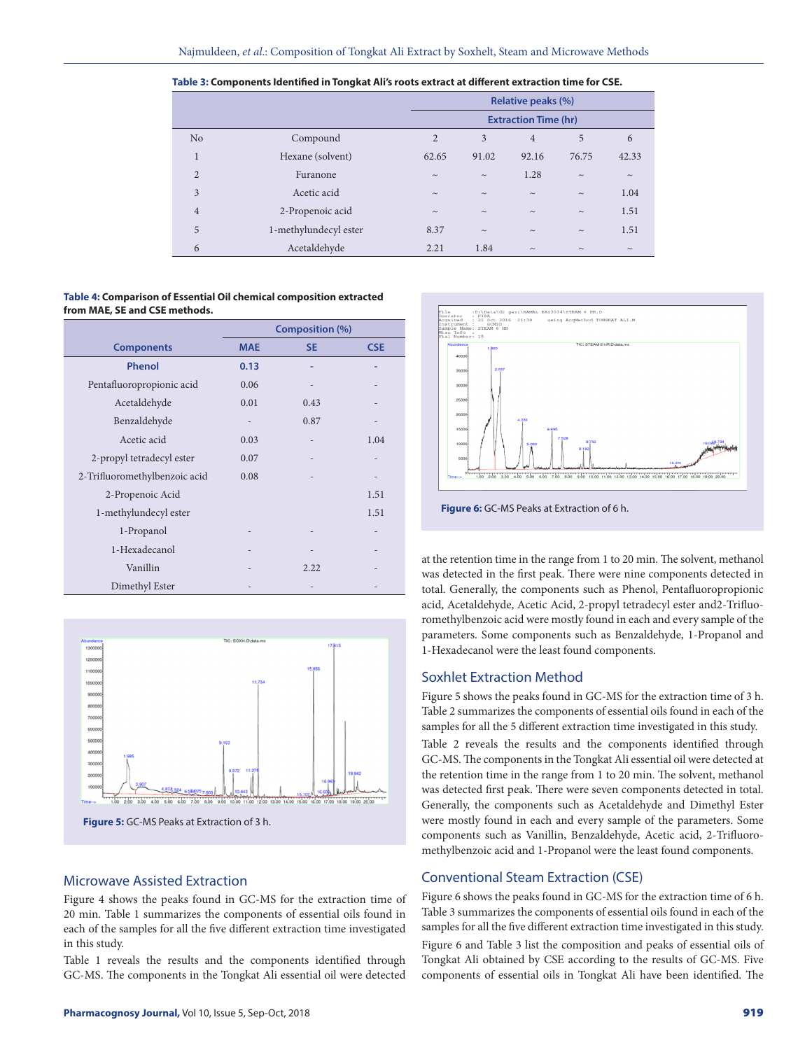|  | Table 3: Components Identified in Tongkat Ali's roots extract at different extraction time for CSE. |  |
|--|-----------------------------------------------------------------------------------------------------|--|
|  |                                                                                                     |  |

|                |                       |          | Relative peaks (%)          |                           |                           |                           |  |
|----------------|-----------------------|----------|-----------------------------|---------------------------|---------------------------|---------------------------|--|
|                |                       |          | <b>Extraction Time (hr)</b> |                           |                           |                           |  |
| No             | Compound              | 2        | 3                           | $\overline{4}$            | 5                         | 6                         |  |
| $\mathbf{1}$   | Hexane (solvent)      | 62.65    | 91.02                       | 92.16                     | 76.75                     | 42.33                     |  |
| $\overline{2}$ | Furanone              | $\sim\,$ | $\sim$                      | 1.28                      | $\widetilde{\phantom{m}}$ | $\sim$                    |  |
| 3              | Acetic acid           | $\sim\,$ | $\sim\,$                    | $\sim$                    | $\sim$                    | 1.04                      |  |
| $\overline{4}$ | 2-Propenoic acid      | $\sim$   | $\sim\,$                    | $\sim$                    | $\sim$                    | 1.51                      |  |
| 5              | 1-methylundecyl ester | 8.37     | $\sim\,$                    | $\widetilde{\phantom{m}}$ | $\sim\,$                  | 1.51                      |  |
| 6              | Acetaldehyde          | 2.21     | 1.84                        | $\sim$                    | $\widetilde{\phantom{m}}$ | $\widetilde{\phantom{m}}$ |  |

#### **Table 4: Comparison of Essential Oil chemical composition extracted from MAE, SE and CSE methods.**

|                               | <b>Composition (%)</b> |           |                |  |  |
|-------------------------------|------------------------|-----------|----------------|--|--|
| <b>Components</b>             | <b>MAE</b>             | <b>SE</b> | <b>CSE</b>     |  |  |
| Phenol                        | 0.13                   |           |                |  |  |
| Pentafluoropropionic acid     | 0.06                   |           |                |  |  |
| Acetaldehyde                  | 0.01                   | 0.43      |                |  |  |
| Benzaldehyde                  | $\overline{a}$         | 0.87      |                |  |  |
| Acetic acid                   | 0.03                   |           | 1.04           |  |  |
| 2-propyl tetradecyl ester     | 0.07                   |           |                |  |  |
| 2-Trifluoromethylbenzoic acid | 0.08                   |           | $\overline{a}$ |  |  |
| 2-Propenoic Acid              |                        |           | 1.51           |  |  |
| 1-methylundecyl ester         |                        |           | 1.51           |  |  |
| 1-Propanol                    |                        |           |                |  |  |
| 1-Hexadecanol                 |                        |           |                |  |  |
| Vanillin                      |                        | 2.22      |                |  |  |
| Dimethyl Ester                |                        |           |                |  |  |





## Microwave Assisted Extraction

Figure 4 shows the peaks found in GC-MS for the extraction time of 20 min. Table 1 summarizes the components of essential oils found in each of the samples for all the five different extraction time investigated in this study.

Table 1 reveals the results and the components identified through GC-MS. The components in the Tongkat Ali essential oil were detected



at the retention time in the range from 1 to 20 min. The solvent, methanol was detected in the first peak. There were nine components detected in total. Generally, the components such as Phenol, Pentafluoropropionic acid, Acetaldehyde, Acetic Acid, 2-propyl tetradecyl ester and2-Trifluoromethylbenzoic acid were mostly found in each and every sample of the parameters. Some components such as Benzaldehyde, 1-Propanol and 1-Hexadecanol were the least found components.

#### Soxhlet Extraction Method

Figure 5 shows the peaks found in GC-MS for the extraction time of 3 h. Table 2 summarizes the components of essential oils found in each of the samples for all the 5 different extraction time investigated in this study. Table 2 reveals the results and the components identified through GC-MS. The components in the Tongkat Ali essential oil were detected at the retention time in the range from 1 to 20 min. The solvent, methanol was detected first peak. There were seven components detected in total. Generally, the components such as Acetaldehyde and Dimethyl Ester were mostly found in each and every sample of the parameters. Some components such as Vanillin, Benzaldehyde, Acetic acid, 2-Trifluoromethylbenzoic acid and 1-Propanol were the least found components.

## Conventional Steam Extraction (CSE)

Figure 6 shows the peaks found in GC-MS for the extraction time of 6 h. Table 3 summarizes the components of essential oils found in each of the samples for all the five different extraction time investigated in this study. Figure 6 and Table 3 list the composition and peaks of essential oils of Tongkat Ali obtained by CSE according to the results of GC-MS. Five components of essential oils in Tongkat Ali have been identified. The